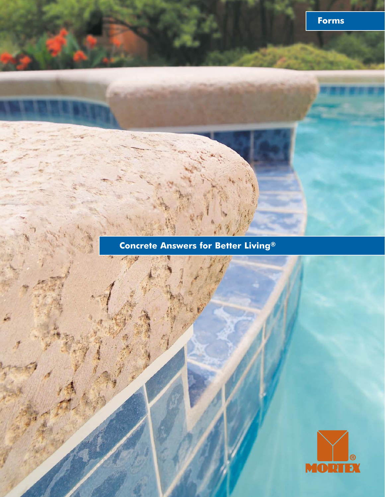### **Concrete Answers for Better Living®**

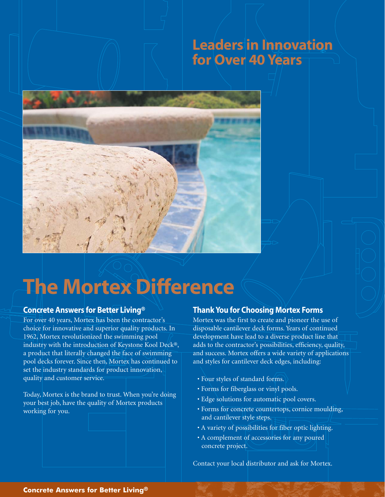### Leaders in Innovation for Over 40 Years



# The Mortex Difference

#### Concrete Answers for Better Living®

For over 40 years, Mortex has been the contractor's choice for innovative and superior quality products. In 1962, Mortex revolutionized the swimming pool industry with the introduction of Keystone Kool Deck®, a product that literally changed the face of swimming pool decks forever. Since then, Mortex has continued to set the industry standards for product innovation, quality and customer service.

Today, Mortex is the brand to trust. When you're doing your best job, have the quality of Mortex products working for you.

#### Thank You for Choosing Mortex Forms

Mortex was the first to create and pioneer the use of disposable cantilever deck forms. Years of continued development have lead to a diverse product line that adds to the contractor's possibilities, efficiency, quality, and success. Mortex offers a wide variety of applications and styles for cantilever deck edges, including:

- Four styles of standard forms.
- Forms for fiberglass or vinyl pools.
- Edge solutions for automatic pool covers.
- Forms for concrete countertops, cornice moulding, and cantilever style steps.
- A variety of possibilities for fiber optic lighting.
- A complement of accessories for any poured concrete project.

Contact your local distributor and ask for Mortex.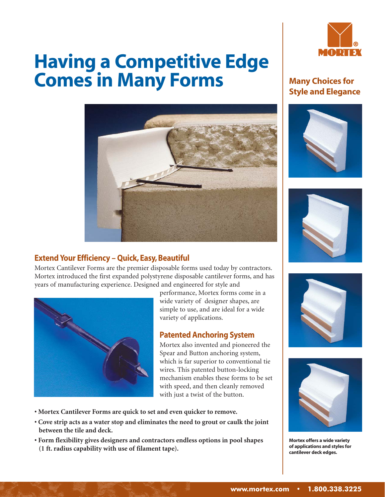# Having a Competitive Edge Comes in Many Forms



#### Extend Your Efficiency – Quick, Easy, Beautiful

Mortex Cantilever Forms are the premier disposable forms used today by contractors. Mortex introduced the first expanded polystyrene disposable cantilever forms, and has years of manufacturing experience. Designed and engineered for style and



performance, Mortex forms come in a wide variety of designer shapes, are simple to use, and are ideal for a wide variety of applications.

#### Patented Anchoring System

Mortex also invented and pioneered the Spear and Button anchoring system, which is far superior to conventional tie wires. This patented button-locking mechanism enables these forms to be set with speed, and then cleanly removed with just a twist of the button.

- **Mortex Cantilever Forms are quick to set and even quicker to remove.**
- **Cove strip acts as a water stop and eliminates the need to grout or caulk the joint between the tile and deck.**
- **Form flexibility gives designers and contractors endless options in pool shapes (1 ft. radius capability with use of filament tape).**



#### Many Choices for Style and Elegance









Mortex offers a wide variety of applications and styles for cantilever deck edges.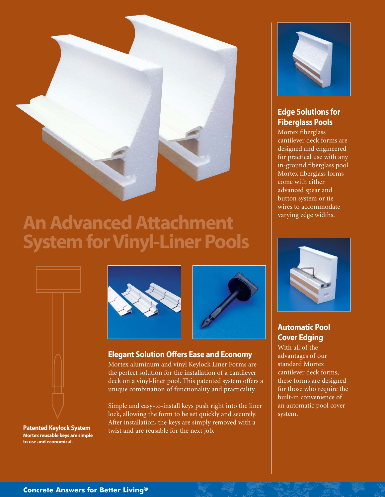

### An Advanced Attachment System for Vinyl-Liner Pools



Patented Keylock System Mortex reusable keys are simple to use and economical.





#### Elegant Solution Offers Ease and Economy

Mortex aluminum and vinyl Keylock Liner Forms are the perfect solution for the installation of a cantilever deck on a vinyl-liner pool. This patented system offers a unique combination of functionality and practicality.

Simple and easy-to-install keys push right into the liner lock, allowing the form to be set quickly and securely. After installation, the keys are simply removed with a twist and are reusable for the next job.



#### Edge Solutions for Fiberglass Pools

Mortex fiberglass cantilever deck forms are designed and engineered for practical use with any in-ground fiberglass pool. Mortex fiberglass forms come with either advanced spear and button system or tie wires to accommodate varying edge widths.



#### Automatic Pool Cover Edging

With all of the advantages of our standard Mortex cantilever deck forms, these forms are designed for those who require the built-in convenience of an automatic pool cover system.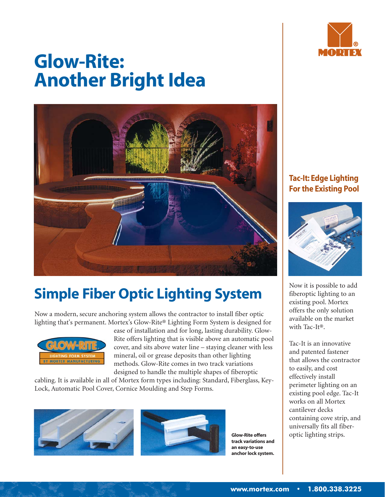

# Glow-Rite: Another Bright Idea



### Simple Fiber Optic Lighting System

Now a modern, secure anchoring system allows the contractor to install fiber optic lighting that's permanent. Mortex's Glow-Rite® Lighting Form System is designed for



ease of installation and for long, lasting durability. Glow-Rite offers lighting that is visible above an automatic pool cover, and sits above water line – staying cleaner with less mineral, oil or grease deposits than other lighting methods. Glow-Rite comes in two track variations designed to handle the multiple shapes of fiberoptic

cabling. It is available in all of Mortex form types including: Standard, Fiberglass, Key-Lock, Automatic Pool Cover, Cornice Moulding and Step Forms.





track variations and an easy-to-use anchor lock system.

#### Tac-It: Edge Lighting For the Existing Pool



Now it is possible to add fiberoptic lighting to an existing pool. Mortex offers the only solution available on the market with Tac-It®.

Tac-It is an innovative and patented fastener that allows the contractor to easily, and cost effectively install perimeter lighting on an existing pool edge. Tac-It works on all Mortex cantilever decks containing cove strip, and universally fits all fiber-Glow-Rite offers **optic lighting strips.**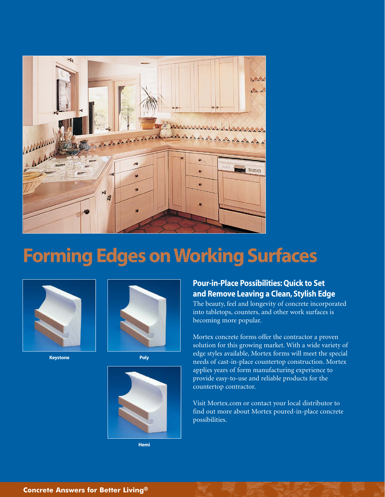

## Forming Edges on Working Surfaces



Keystone **Poly** 





Hemi

#### Pour-in-Place Possibilities: Quick to Set and Remove Leaving a Clean, Stylish Edge

The beauty, feel and longevity of concrete incorporated into tabletops, counters, and other work surfaces is becoming more popular.

Mortex concrete forms offer the contractor a proven solution for this growing market. With a wide variety of edge styles available, Mortex forms will meet the special needs of cast-in-place countertop construction. Mortex applies years of form manufacturing experience to provide easy-to-use and reliable products for the countertop contractor.

Visit Mortex.com or contact your local distributor to find out more about Mortex poured-in-place concrete possibilities.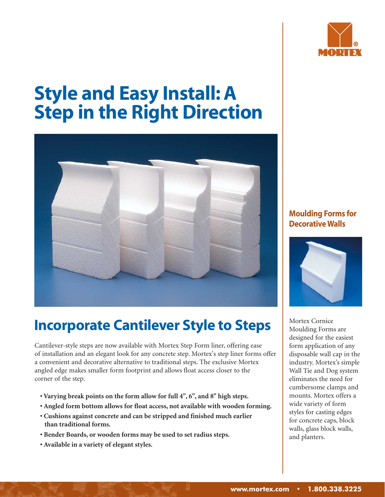

# Style and Easy Install: A Step in the Right Direction



### Incorporate Cantilever Style to Steps

Cantilever-style steps are now available with Mortex Step Form liner, offering ease of installation and an elegant look for any concrete step. Mortex's step liner forms offer a convenient and decorative alternative to traditional steps. The exclusive Mortex angled edge makes smaller form footprint and allows float access closer to the corner of the step.

- **Varying break points on the form allow for full 4", 6", and 8" high steps.**
- **Angled form bottom allows for float access, not available with wooden forming.**
- **Cushions against concrete and can be stripped and finished much earlier than traditional forms.**
- **Bender Boards, or wooden forms may be used to set radius steps.**
- **Available in a variety of elegant styles.**

#### Moulding Forms for Decorative Walls



Mortex Cornice Moulding Forms are designed for the easiest form application of any disposable wall cap in the industry. Mortex's simple Wall Tie and Dog system eliminates the need for cumbersome clamps and mounts. Mortex offers a wide variety of form styles for casting edges for concrete caps, block walls, glass block walls, and planters.